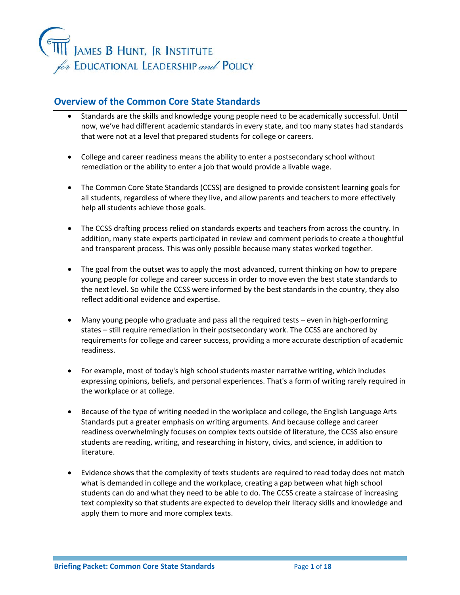

## **Overview of the Common Core State Standards**

- Standards are the skills and knowledge young people need to be academically successful. Until now, we've had different academic standards in every state, and too many states had standards that were not at a level that prepared students for college or careers.
- College and career readiness means the ability to enter a postsecondary school without remediation or the ability to enter a job that would provide a livable wage.
- The Common Core State Standards (CCSS) are designed to provide consistent learning goals for all students, regardless of where they live, and allow parents and teachers to more effectively help all students achieve those goals.
- The CCSS drafting process relied on standards experts and teachers from across the country. In addition, many state experts participated in review and comment periods to create a thoughtful and transparent process. This was only possible because many states worked together.
- The goal from the outset was to apply the most advanced, current thinking on how to prepare young people for college and career success in order to move even the best state standards to the next level. So while the CCSS were informed by the best standards in the country, they also reflect additional evidence and expertise.
- Many young people who graduate and pass all the required tests even in high-performing states – still require remediation in their postsecondary work. The CCSS are anchored by requirements for college and career success, providing a more accurate description of academic readiness.
- For example, most of today's high school students master narrative writing, which includes expressing opinions, beliefs, and personal experiences. That's a form of writing rarely required in the workplace or at college.
- Because of the type of writing needed in the workplace and college, the English Language Arts Standards put a greater emphasis on writing arguments. And because college and career readiness overwhelmingly focuses on complex texts outside of literature, the CCSS also ensure students are reading, writing, and researching in history, civics, and science, in addition to literature.
- Evidence shows that the complexity of texts students are required to read today does not match what is demanded in college and the workplace, creating a gap between what high school students can do and what they need to be able to do. The CCSS create a staircase of increasing text complexity so that students are expected to develop their literacy skills and knowledge and apply them to more and more complex texts.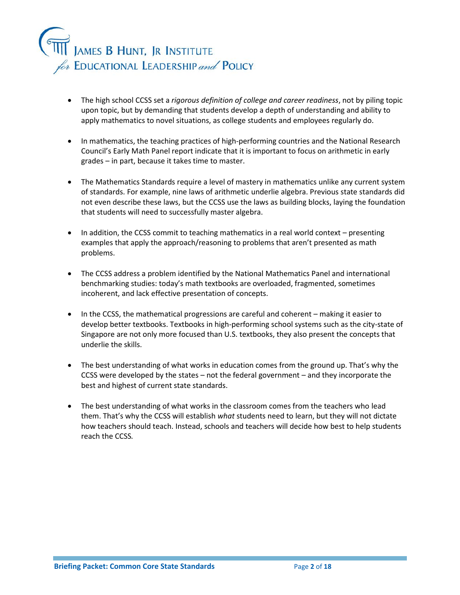

- The high school CCSS set a *rigorous definition of college and career readiness*, not by piling topic upon topic, but by demanding that students develop a depth of understanding and ability to apply mathematics to novel situations, as college students and employees regularly do.
- In mathematics, the teaching practices of high-performing countries and the National Research Council's Early Math Panel report indicate that it is important to focus on arithmetic in early grades – in part, because it takes time to master.
- The Mathematics Standards require a level of mastery in mathematics unlike any current system of standards. For example, nine laws of arithmetic underlie algebra. Previous state standards did not even describe these laws, but the CCSS use the laws as building blocks, laying the foundation that students will need to successfully master algebra.
- In addition, the CCSS commit to teaching mathematics in a real world context presenting examples that apply the approach/reasoning to problems that aren't presented as math problems.
- The CCSS address a problem identified by the National Mathematics Panel and international benchmarking studies: today's math textbooks are overloaded, fragmented, sometimes incoherent, and lack effective presentation of concepts.
- In the CCSS, the mathematical progressions are careful and coherent making it easier to develop better textbooks. Textbooks in high-performing school systems such as the city-state of Singapore are not only more focused than U.S. textbooks, they also present the concepts that underlie the skills.
- The best understanding of what works in education comes from the ground up. That's why the CCSS were developed by the states – not the federal government – and they incorporate the best and highest of current state standards.
- The best understanding of what works in the classroom comes from the teachers who lead them. That's why the CCSS will establish *what* students need to learn, but they will not dictate how teachers should teach. Instead, schools and teachers will decide how best to help students reach the CCSS*.*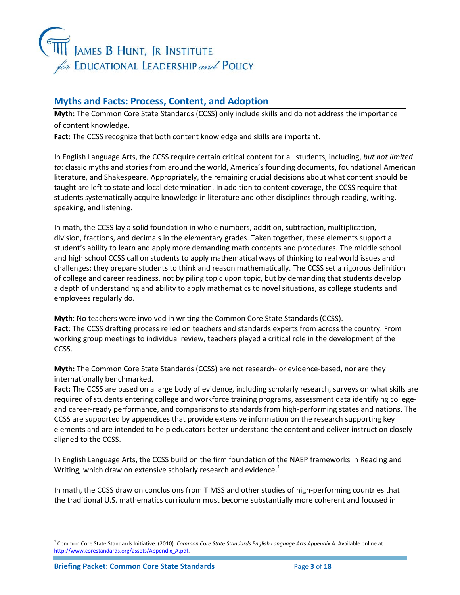

### **Myths and Facts: Process, Content, and Adoption**

**Myth:** The Common Core State Standards (CCSS) only include skills and do not address the importance of content knowledge.

Fact: The CCSS recognize that both content knowledge and skills are important.

In English Language Arts, the CCSS require certain critical content for all students, including, *but not limited to*: classic myths and stories from around the world, America's founding documents, foundational American literature, and Shakespeare. Appropriately, the remaining crucial decisions about what content should be taught are left to state and local determination. In addition to content coverage, the CCSS require that students systematically acquire knowledge in literature and other disciplines through reading, writing, speaking, and listening.

In math, the CCSS lay a solid foundation in whole numbers, addition, subtraction, multiplication, division, fractions, and decimals in the elementary grades. Taken together, these elements support a student's ability to learn and apply more demanding math concepts and procedures. The middle school and high school CCSS call on students to apply mathematical ways of thinking to real world issues and challenges; they prepare students to think and reason mathematically. The CCSS set a rigorous definition of college and career readiness, not by piling topic upon topic, but by demanding that students develop a depth of understanding and ability to apply mathematics to novel situations, as college students and employees regularly do.

**Myth**: No teachers were involved in writing the Common Core State Standards (CCSS). **Fact**: The CCSS drafting process relied on teachers and standards experts from across the country. From working group meetings to individual review, teachers played a critical role in the development of the CCSS.

**Myth:** The Common Core State Standards (CCSS) are not research- or evidence-based, nor are they internationally benchmarked.

**Fact:** The CCSS are based on a large body of evidence, including scholarly research, surveys on what skills are required of students entering college and workforce training programs, assessment data identifying collegeand career-ready performance, and comparisons to standards from high-performing states and nations. The CCSS are supported by appendices that provide extensive information on the research supporting key elements and are intended to help educators better understand the content and deliver instruction closely aligned to the CCSS.

In English Language Arts, the CCSS build on the firm foundation of the NAEP frameworks in Reading and Writing, which draw on extensive scholarly research and evidence.<sup>1</sup>

In math, the CCSS draw on conclusions from TIMSS and other studies of high-performing countries that the traditional U.S. mathematics curriculum must become substantially more coherent and focused in

 $\overline{a}$ 

<sup>1</sup> Common Core State Standards Initiative. (2010). *Common Core State Standards English Language Arts Appendix A*. Available online at [http://www.corestandards.org/assets/Appendix\\_A.pdf.](http://www.corestandards.org/assets/Appendix_A.pdf)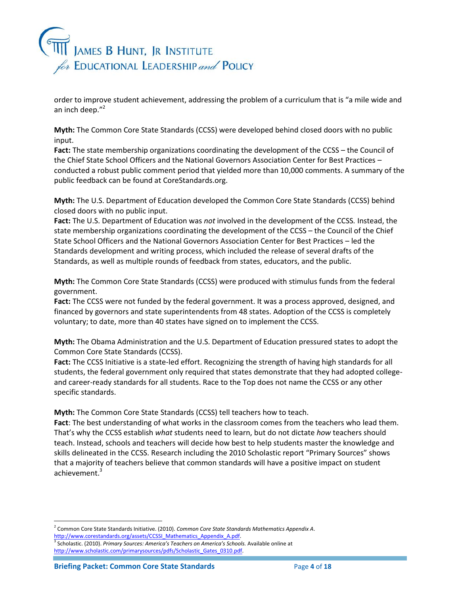# ,<br>James B Hunt, Jr Institute for EDUCATIONAL LEADERSHIP and POLICY

order to improve student achievement, addressing the problem of a curriculum that is "a mile wide and an inch deep."<sup>2</sup>

**Myth:** The Common Core State Standards (CCSS) were developed behind closed doors with no public input.

**Fact:** The state membership organizations coordinating the development of the CCSS – the Council of the Chief State School Officers and the National Governors Association Center for Best Practices – conducted a robust public comment period that yielded more than 10,000 comments. A summary of the public feedback can be found at CoreStandards.org.

**Myth:** The U.S. Department of Education developed the Common Core State Standards (CCSS) behind closed doors with no public input.

**Fact:** The U.S. Department of Education was *not* involved in the development of the CCSS*.* Instead, the state membership organizations coordinating the development of the CCSS – the Council of the Chief State School Officers and the National Governors Association Center for Best Practices – led the Standards development and writing process, which included the release of several drafts of the Standards, as well as multiple rounds of feedback from states, educators, and the public.

**Myth:** The Common Core State Standards (CCSS) were produced with stimulus funds from the federal government.

**Fact:** The CCSS were not funded by the federal government. It was a process approved, designed, and financed by governors and state superintendents from 48 states. Adoption of the CCSS is completely voluntary; to date, more than 40 states have signed on to implement the CCSS.

**Myth:** The Obama Administration and the U.S. Department of Education pressured states to adopt the Common Core State Standards (CCSS).

**Fact:** The CCSS Initiative is a state-led effort. Recognizing the strength of having high standards for all students, the federal government only required that states demonstrate that they had adopted collegeand career-ready standards for all students. Race to the Top does not name the CCSS or any other specific standards.

**Myth:** The Common Core State Standards (CCSS) tell teachers how to teach.

**Fact**: The best understanding of what works in the classroom comes from the teachers who lead them. That's why the CCSS establish *what* students need to learn, but do not dictate *how* teachers should teach. Instead, schools and teachers will decide how best to help students master the knowledge and skills delineated in the CCSS. Research including the 2010 Scholastic report "Primary Sources" shows that a majority of teachers believe that common standards will have a positive impact on student achievement.<sup>3</sup>

l 2 Common Core State Standards Initiative. (2010). *Common Core State Standards Mathematics Appendix A*.

http://www.corestandards.org/assets/CCSSI\_Mathematics\_Appendix\_A.pdf.<br><sup>3</sup> Scholastic. (2010). *Primary Sources: America's Teachers on America's Schools.* Available online at http://www.scholastic.com/primarysources/pdfs/Scholastic\_Gates\_0310.pdf.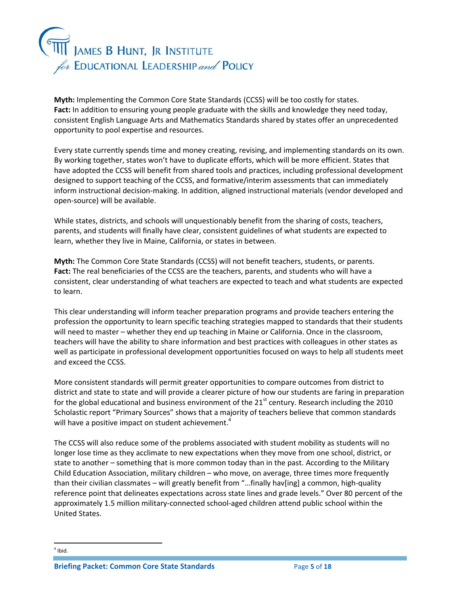

**Myth:** Implementing the Common Core State Standards (CCSS) will be too costly for states. **Fact:** In addition to ensuring young people graduate with the skills and knowledge they need today, consistent English Language Arts and Mathematics Standards shared by states offer an unprecedented opportunity to pool expertise and resources.

Every state currently spends time and money creating, revising, and implementing standards on its own. By working together, states won't have to duplicate efforts, which will be more efficient. States that have adopted the CCSS will benefit from shared tools and practices, including professional development designed to support teaching of the CCSS, and formative/interim assessments that can immediately inform instructional decision-making. In addition, aligned instructional materials (vendor developed and open-source) will be available.

While states, districts, and schools will unquestionably benefit from the sharing of costs, teachers, parents, and students will finally have clear, consistent guidelines of what students are expected to learn, whether they live in Maine, California, or states in between.

**Myth:** The Common Core State Standards (CCSS) will not benefit teachers, students, or parents. **Fact:** The real beneficiaries of the CCSS are the teachers, parents, and students who will have a consistent, clear understanding of what teachers are expected to teach and what students are expected to learn.

This clear understanding will inform teacher preparation programs and provide teachers entering the profession the opportunity to learn specific teaching strategies mapped to standards that their students will need to master – whether they end up teaching in Maine or California. Once in the classroom, teachers will have the ability to share information and best practices with colleagues in other states as well as participate in professional development opportunities focused on ways to help all students meet and exceed the CCSS.

More consistent standards will permit greater opportunities to compare outcomes from district to district and state to state and will provide a clearer picture of how our students are faring in preparation for the global educational and business environment of the  $21<sup>st</sup>$  century. Research including the 2010 Scholastic report "Primary Sources" shows that a majority of teachers believe that common standards will have a positive impact on student achievement.<sup>4</sup>

The CCSS will also reduce some of the problems associated with student mobility as students will no longer lose time as they acclimate to new expectations when they move from one school, district, or state to another – something that is more common today than in the past. According to the Military Child Education Association, military children – who move, on average, three times more frequently than their civilian classmates – will greatly benefit from "…finally hav[ing] a common, high-quality reference point that delineates expectations across state lines and grade levels." Over 80 percent of the approximately 1.5 million military-connected school-aged children attend public school within the United States.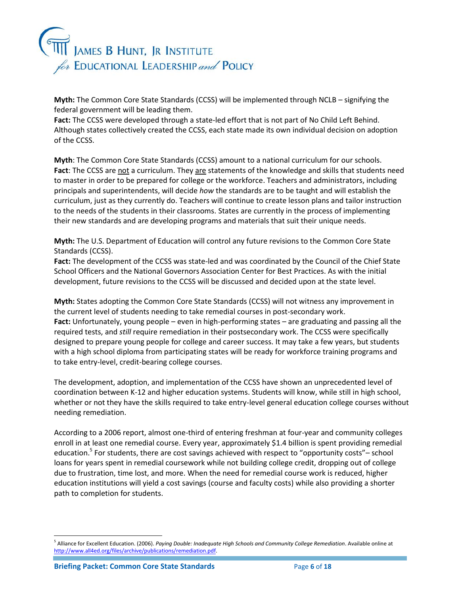

**Myth:** The Common Core State Standards (CCSS) will be implemented through NCLB – signifying the federal government will be leading them.

**Fact:** The CCSS were developed through a state-led effort that is not part of No Child Left Behind. Although states collectively created the CCSS, each state made its own individual decision on adoption of the CCSS.

**Myth**: The Common Core State Standards (CCSS) amount to a national curriculum for our schools. **Fact**: The CCSS are not a curriculum. They are statements of the knowledge and skills that students need to master in order to be prepared for college or the workforce. Teachers and administrators, including principals and superintendents, will decide *how* the standards are to be taught and will establish the curriculum, just as they currently do. Teachers will continue to create lesson plans and tailor instruction to the needs of the students in their classrooms. States are currently in the process of implementing their new standards and are developing programs and materials that suit their unique needs.

**Myth:** The U.S. Department of Education will control any future revisions to the Common Core State Standards (CCSS).

**Fact:** The development of the CCSS was state-led and was coordinated by the Council of the Chief State School Officers and the National Governors Association Center for Best Practices. As with the initial development, future revisions to the CCSS will be discussed and decided upon at the state level.

**Myth:** States adopting the Common Core State Standards (CCSS) will not witness any improvement in the current level of students needing to take remedial courses in post-secondary work. **Fact:** Unfortunately, young people – even in high-performing states – are graduating and passing all the required tests, and *still* require remediation in their postsecondary work. The CCSS were specifically designed to prepare young people for college and career success. It may take a few years, but students with a high school diploma from participating states will be ready for workforce training programs and to take entry-level, credit-bearing college courses.

The development, adoption, and implementation of the CCSS have shown an unprecedented level of coordination between K-12 and higher education systems. Students will know, while still in high school, whether or not they have the skills required to take entry-level general education college courses without needing remediation.

According to a 2006 report, almost one-third of entering freshman at four-year and community colleges enroll in at least one remedial course. Every year, approximately \$1.4 billion is spent providing remedial education.<sup>5</sup> For students, there are cost savings achieved with respect to "opportunity costs"– school loans for years spent in remedial coursework while not building college credit, dropping out of college due to frustration, time lost, and more. When the need for remedial course work is reduced, higher education institutions will yield a cost savings (course and faculty costs) while also providing a shorter path to completion for students.

 $\overline{a}$ 

<sup>&</sup>lt;sup>5</sup> Alliance for Excellent Education. (2006). *Paying Double: Inadequate High Schools and Community College Remediation*. Available online at [http://www.all4ed.org/files/archive/publications/remediation.pdf.](http://www.all4ed.org/files/archive/publications/remediation.pdf)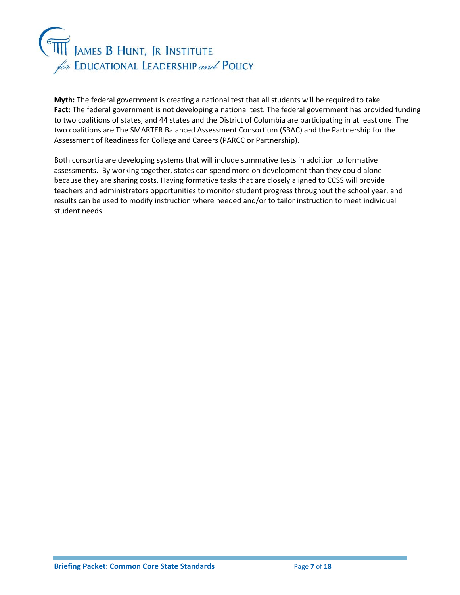

**Myth:** The federal government is creating a national test that all students will be required to take. **Fact:** The federal government is not developing a national test. The federal government has provided funding to two coalitions of states, and 44 states and the District of Columbia are participating in at least one. The two coalitions are The SMARTER Balanced Assessment Consortium (SBAC) and the Partnership for the Assessment of Readiness for College and Careers (PARCC or Partnership).

Both consortia are developing systems that will include summative tests in addition to formative assessments. By working together, states can spend more on development than they could alone because they are sharing costs. Having formative tasks that are closely aligned to CCSS will provide teachers and administrators opportunities to monitor student progress throughout the school year, and results can be used to modify instruction where needed and/or to tailor instruction to meet individual student needs.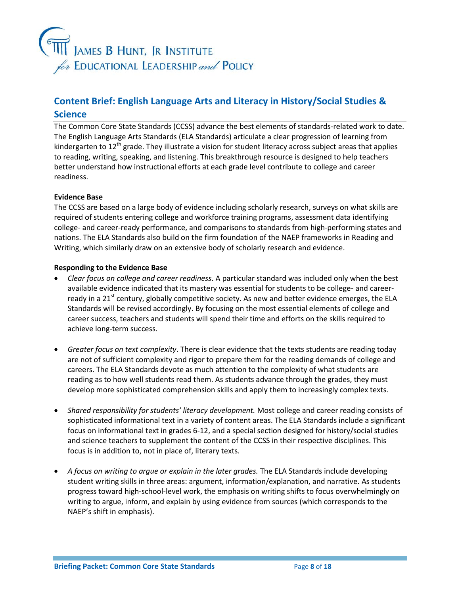

# **Content Brief: English Language Arts and Literacy in History/Social Studies & Science**

The Common Core State Standards (CCSS) advance the best elements of standards-related work to date. The English Language Arts Standards (ELA Standards) articulate a clear progression of learning from kindergarten to  $12<sup>th</sup>$  grade. They illustrate a vision for student literacy across subject areas that applies to reading, writing, speaking, and listening. This breakthrough resource is designed to help teachers better understand how instructional efforts at each grade level contribute to college and career readiness.

#### **Evidence Base**

The CCSS are based on a large body of evidence including scholarly research, surveys on what skills are required of students entering college and workforce training programs, assessment data identifying college- and career-ready performance, and comparisons to standards from high-performing states and nations. The ELA Standards also build on the firm foundation of the NAEP frameworks in Reading and Writing, which similarly draw on an extensive body of scholarly research and evidence.

#### **Responding to the Evidence Base**

- *Clear focus on college and career readiness*. A particular standard was included only when the best available evidence indicated that its mastery was essential for students to be college- and careerready in a 21<sup>st</sup> century, globally competitive society. As new and better evidence emerges, the ELA Standards will be revised accordingly. By focusing on the most essential elements of college and career success, teachers and students will spend their time and efforts on the skills required to achieve long-term success.
- *Greater focus on text complexity*. There is clear evidence that the texts students are reading today are not of sufficient complexity and rigor to prepare them for the reading demands of college and careers. The ELA Standards devote as much attention to the complexity of what students are reading as to how well students read them. As students advance through the grades, they must develop more sophisticated comprehension skills and apply them to increasingly complex texts.
- *Shared responsibility for students' literacy development.* Most college and career reading consists of sophisticated informational text in a variety of content areas. The ELA Standards include a significant focus on informational text in grades 6-12, and a special section designed for history/social studies and science teachers to supplement the content of the CCSS in their respective disciplines. This focus is in addition to, not in place of, literary texts.
- *A focus on writing to argue or explain in the later grades.* The ELA Standards include developing student writing skills in three areas: argument, information/explanation, and narrative. As students progress toward high-school-level work, the emphasis on writing shifts to focus overwhelmingly on writing to argue, inform, and explain by using evidence from sources (which corresponds to the NAEP's shift in emphasis).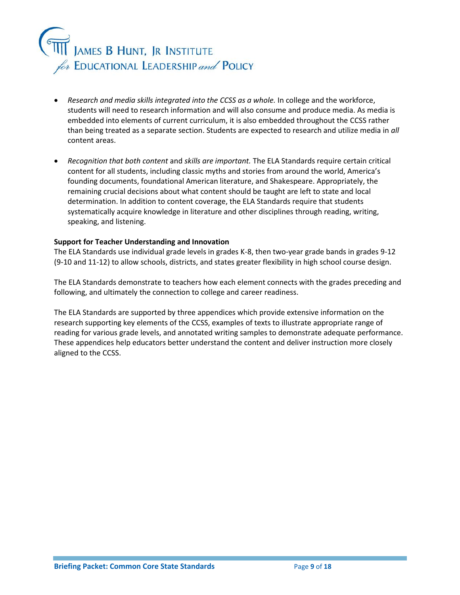

- *Research and media skills integrated into the CCSS as a whole.* In college and the workforce, students will need to research information and will also consume and produce media. As media is embedded into elements of current curriculum, it is also embedded throughout the CCSS rather than being treated as a separate section. Students are expected to research and utilize media in *all*  content areas.
- *Recognition that both content* and *skills are important.* The ELA Standards require certain critical content for all students, including classic myths and stories from around the world, America's founding documents, foundational American literature, and Shakespeare. Appropriately, the remaining crucial decisions about what content should be taught are left to state and local determination. In addition to content coverage, the ELA Standards require that students systematically acquire knowledge in literature and other disciplines through reading, writing, speaking, and listening.

#### **Support for Teacher Understanding and Innovation**

The ELA Standards use individual grade levels in grades K-8, then two-year grade bands in grades 9-12 (9-10 and 11-12) to allow schools, districts, and states greater flexibility in high school course design.

The ELA Standards demonstrate to teachers how each element connects with the grades preceding and following, and ultimately the connection to college and career readiness.

The ELA Standards are supported by three appendices which provide extensive information on the research supporting key elements of the CCSS, examples of texts to illustrate appropriate range of reading for various grade levels, and annotated writing samples to demonstrate adequate performance. These appendices help educators better understand the content and deliver instruction more closely aligned to the CCSS.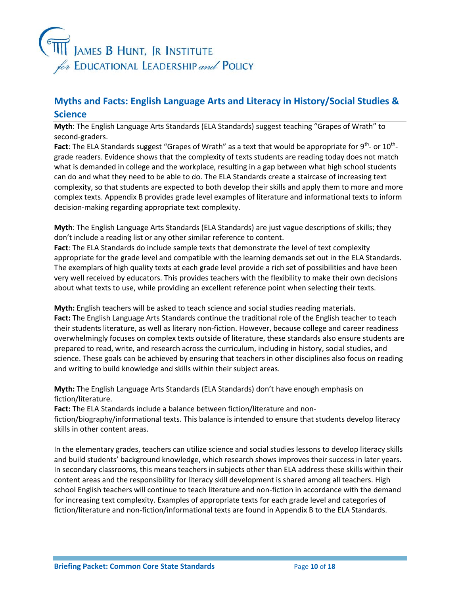

# **Myths and Facts: English Language Arts and Literacy in History/Social Studies & Science**

**Myth**: The English Language Arts Standards (ELA Standards) suggest teaching "Grapes of Wrath" to second-graders.

Fact: The ELA Standards suggest "Grapes of Wrath" as a text that would be appropriate for 9<sup>th</sup>- or 10<sup>th</sup>grade readers. Evidence shows that the complexity of texts students are reading today does not match what is demanded in college and the workplace, resulting in a gap between what high school students can do and what they need to be able to do. The ELA Standards create a staircase of increasing text complexity, so that students are expected to both develop their skills and apply them to more and more complex texts. Appendix B provides grade level examples of literature and informational texts to inform decision-making regarding appropriate text complexity.

**Myth**: The English Language Arts Standards (ELA Standards) are just vague descriptions of skills; they don't include a reading list or any other similar reference to content.

**Fact**: The ELA Standards do include sample texts that demonstrate the level of text complexity appropriate for the grade level and compatible with the learning demands set out in the ELA Standards. The exemplars of high quality texts at each grade level provide a rich set of possibilities and have been very well received by educators. This provides teachers with the flexibility to make their own decisions about what texts to use, while providing an excellent reference point when selecting their texts.

**Myth:** English teachers will be asked to teach science and social studies reading materials. **Fact:** The English Language Arts Standards continue the traditional role of the English teacher to teach their students literature, as well as literary non-fiction. However, because college and career readiness overwhelmingly focuses on complex texts outside of literature, these standards also ensure students are prepared to read, write, and research across the curriculum, including in history, social studies, and science. These goals can be achieved by ensuring that teachers in other disciplines also focus on reading and writing to build knowledge and skills within their subject areas.

**Myth:** The English Language Arts Standards (ELA Standards) don't have enough emphasis on fiction/literature.

**Fact:** The ELA Standards include a balance between fiction/literature and non-

fiction/biography/informational texts. This balance is intended to ensure that students develop literacy skills in other content areas.

In the elementary grades, teachers can utilize science and social studies lessons to develop literacy skills and build students' background knowledge, which research shows improves their success in later years. In secondary classrooms, this means teachers in subjects other than ELA address these skills within their content areas and the responsibility for literacy skill development is shared among all teachers. High school English teachers will continue to teach literature and non-fiction in accordance with the demand for increasing text complexity. Examples of appropriate texts for each grade level and categories of fiction/literature and non-fiction/informational texts are found in Appendix B to the ELA Standards.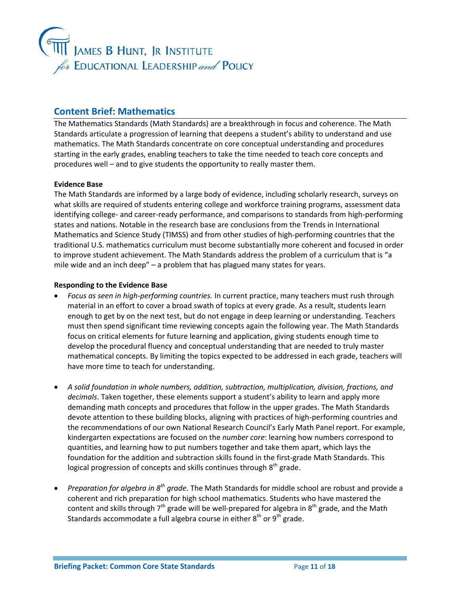

## **Content Brief: Mathematics**

The Mathematics Standards (Math Standards) are a breakthrough in focus and coherence. The Math Standards articulate a progression of learning that deepens a student's ability to understand and use mathematics. The Math Standards concentrate on core conceptual understanding and procedures starting in the early grades, enabling teachers to take the time needed to teach core concepts and procedures well – and to give students the opportunity to really master them.

#### **Evidence Base**

The Math Standards are informed by a large body of evidence, including scholarly research, surveys on what skills are required of students entering college and workforce training programs, assessment data identifying college- and career-ready performance, and comparisons to standards from high-performing states and nations. Notable in the research base are conclusions from the Trends in International Mathematics and Science Study (TIMSS) and from other studies of high-performing countries that the traditional U.S. mathematics curriculum must become substantially more coherent and focused in order to improve student achievement. The Math Standards address the problem of a curriculum that is "a mile wide and an inch deep" – a problem that has plagued many states for years.

#### **Responding to the Evidence Base**

- *Focus as seen in high-performing countries.* In current practice, many teachers must rush through material in an effort to cover a broad swath of topics at every grade. As a result, students learn enough to get by on the next test, but do not engage in deep learning or understanding. Teachers must then spend significant time reviewing concepts again the following year. The Math Standards focus on critical elements for future learning and application, giving students enough time to develop the procedural fluency and conceptual understanding that are needed to truly master mathematical concepts. By limiting the topics expected to be addressed in each grade, teachers will have more time to teach for understanding.
- *A solid foundation in whole numbers, addition, subtraction, multiplication, division, fractions, and decimals*. Taken together, these elements support a student's ability to learn and apply more demanding math concepts and procedures that follow in the upper grades. The Math Standards devote attention to these building blocks, aligning with practices of high-performing countries and the recommendations of our own National Research Council's Early Math Panel report. For example, kindergarten expectations are focused on the *number core*: learning how numbers correspond to quantities, and learning how to put numbers together and take them apart, which lays the foundation for the addition and subtraction skills found in the first-grade Math Standards. This logical progression of concepts and skills continues through  $8^{\text{th}}$  grade.
- **•** Preparation for algebra in 8<sup>th</sup> grade. The Math Standards for middle school are robust and provide a coherent and rich preparation for high school mathematics. Students who have mastered the content and skills through  $7^{\text{th}}$  grade will be well-prepared for algebra in 8<sup>th</sup> grade, and the Math Standards accommodate a full algebra course in either  $8<sup>th</sup>$  or  $9<sup>th</sup>$  grade.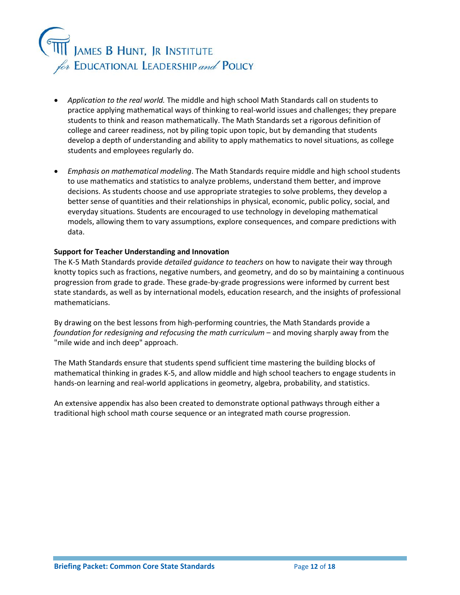

- *Application to the real world.* The middle and high school Math Standards call on students to practice applying mathematical ways of thinking to real-world issues and challenges; they prepare students to think and reason mathematically. The Math Standards set a rigorous definition of college and career readiness, not by piling topic upon topic, but by demanding that students develop a depth of understanding and ability to apply mathematics to novel situations, as college students and employees regularly do.
- *Emphasis on mathematical modeling*. The Math Standards require middle and high school students to use mathematics and statistics to analyze problems, understand them better, and improve decisions. As students choose and use appropriate strategies to solve problems, they develop a better sense of quantities and their relationships in physical, economic, public policy, social, and everyday situations. Students are encouraged to use technology in developing mathematical models, allowing them to vary assumptions, explore consequences, and compare predictions with data.

#### **Support for Teacher Understanding and Innovation**

The K-5 Math Standards provide *detailed guidance to teachers* on how to navigate their way through knotty topics such as fractions, negative numbers, and geometry, and do so by maintaining a continuous progression from grade to grade. These grade-by-grade progressions were informed by current best state standards, as well as by international models, education research, and the insights of professional mathematicians.

By drawing on the best lessons from high-performing countries, the Math Standards provide a *foundation for redesigning and refocusing the math curriculum* – and moving sharply away from the "mile wide and inch deep" approach.

The Math Standards ensure that students spend sufficient time mastering the building blocks of mathematical thinking in grades K-5, and allow middle and high school teachers to engage students in hands-on learning and real-world applications in geometry, algebra, probability, and statistics.

An extensive appendix has also been created to demonstrate optional pathways through either a traditional high school math course sequence or an integrated math course progression.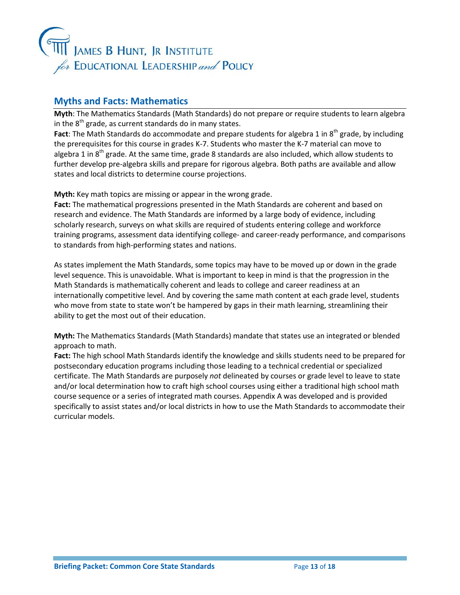

### **Myths and Facts: Mathematics**

**Myth**: The Mathematics Standards (Math Standards) do not prepare or require students to learn algebra in the  $8<sup>th</sup>$  grade, as current standards do in many states.

**Fact**: The Math Standards do accommodate and prepare students for algebra 1 in 8<sup>th</sup> grade, by including the prerequisites for this course in grades K-7. Students who master the K-7 material can move to algebra 1 in  $8<sup>th</sup>$  grade. At the same time, grade 8 standards are also included, which allow students to further develop pre-algebra skills and prepare for rigorous algebra. Both paths are available and allow states and local districts to determine course projections.

**Myth:** Key math topics are missing or appear in the wrong grade.

**Fact:** The mathematical progressions presented in the Math Standards are coherent and based on research and evidence. The Math Standards are informed by a large body of evidence, including scholarly research, surveys on what skills are required of students entering college and workforce training programs, assessment data identifying college- and career-ready performance, and comparisons to standards from high-performing states and nations.

As states implement the Math Standards, some topics may have to be moved up or down in the grade level sequence. This is unavoidable. What is important to keep in mind is that the progression in the Math Standards is mathematically coherent and leads to college and career readiness at an internationally competitive level. And by covering the same math content at each grade level, students who move from state to state won't be hampered by gaps in their math learning, streamlining their ability to get the most out of their education.

**Myth:** The Mathematics Standards (Math Standards) mandate that states use an integrated or blended approach to math.

**Fact:** The high school Math Standards identify the knowledge and skills students need to be prepared for postsecondary education programs including those leading to a technical credential or specialized certificate. The Math Standards are purposely *not* delineated by courses or grade level to leave to state and/or local determination how to craft high school courses using either a traditional high school math course sequence or a series of integrated math courses. Appendix A was developed and is provided specifically to assist states and/or local districts in how to use the Math Standards to accommodate their curricular models.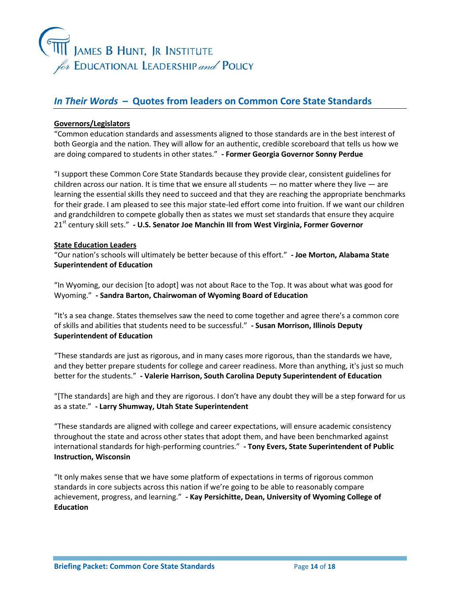

## *In Their Words* **– Quotes from leaders on Common Core State Standards**

#### **Governors/Legislators**

"Common education standards and assessments aligned to those standards are in the best interest of both Georgia and the nation. They will allow for an authentic, credible scoreboard that tells us how we are doing compared to students in other states." **- Former Georgia Governor Sonny Perdue**

"I support these Common Core State Standards because they provide clear, consistent guidelines for children across our nation. It is time that we ensure all students  $-$  no matter where they live  $-$  are learning the essential skills they need to succeed and that they are reaching the appropriate benchmarks for their grade. I am pleased to see this major state-led effort come into fruition. If we want our children and grandchildren to compete globally then as states we must set standards that ensure they acquire 21st century skill sets." **- U.S. Senator Joe Manchin III from West Virginia, Former Governor**

#### **State Education Leaders**

"Our nation's schools will ultimately be better because of this effort." **- Joe Morton, Alabama State Superintendent of Education**

"In Wyoming, our decision [to adopt] was not about Race to the Top. It was about what was good for Wyoming." **- Sandra Barton, Chairwoman of Wyoming Board of Education**

"It's a sea change. States themselves saw the need to come together and agree there's a common core of skills and abilities that students need to be successful." **- Susan Morrison, Illinois Deputy Superintendent of Education**

"These standards are just as rigorous, and in many cases more rigorous, than the standards we have, and they better prepare students for college and career readiness. More than anything, it's just so much better for the students." **- Valerie Harrison, South Carolina Deputy Superintendent of Education**

"[The standards] are high and they are rigorous. I don't have any doubt they will be a step forward for us as a state." **- Larry Shumway, Utah State Superintendent**

"These standards are aligned with college and career expectations, will ensure academic consistency throughout the state and across other states that adopt them, and have been benchmarked against international standards for high-performing countries." **- Tony Evers, State Superintendent of Public Instruction, Wisconsin**

"It only makes sense that we have some platform of expectations in terms of rigorous common standards in core subjects across this nation if we're going to be able to reasonably compare achievement, progress, and learning." **- Kay Persichitte, Dean, University of Wyoming College of Education**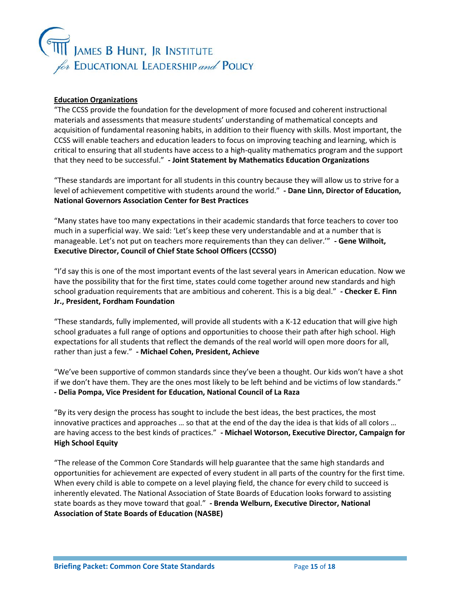

#### **Education Organizations**

"The CCSS provide the foundation for the development of more focused and coherent instructional materials and assessments that measure students' understanding of mathematical concepts and acquisition of fundamental reasoning habits, in addition to their fluency with skills. Most important, the CCSS will enable teachers and education leaders to focus on improving teaching and learning, which is critical to ensuring that all students have access to a high-quality mathematics program and the support that they need to be successful." **- Joint Statement by Mathematics Education Organizations**

"These standards are important for all students in this country because they will allow us to strive for a level of achievement competitive with students around the world." **- Dane Linn, Director of Education, National Governors Association Center for Best Practices**

"Many states have too many expectations in their academic standards that force teachers to cover too much in a superficial way. We said: 'Let's keep these very understandable and at a number that is manageable. Let's not put on teachers more requirements than they can deliver.'" **- Gene Wilhoit, Executive Director, Council of Chief State School Officers (CCSSO)**

"I'd say this is one of the most important events of the last several years in American education. Now we have the possibility that for the first time, states could come together around new standards and high school graduation requirements that are ambitious and coherent. This is a big deal." **- Checker E. Finn Jr., President, Fordham Foundation**

"These standards, fully implemented, will provide all students with a K-12 education that will give high school graduates a full range of options and opportunities to choose their path after high school. High expectations for all students that reflect the demands of the real world will open more doors for all, rather than just a few." **- Michael Cohen, President, Achieve**

"We've been supportive of common standards since they've been a thought. Our kids won't have a shot if we don't have them. They are the ones most likely to be left behind and be victims of low standards." **- Delia Pompa, Vice President for Education, National Council of La Raza**

"By its very design the process has sought to include the best ideas, the best practices, the most innovative practices and approaches … so that at the end of the day the idea is that kids of all colors … are having access to the best kinds of practices." **- Michael Wotorson, Executive Director, Campaign for High School Equity**

"The release of the Common Core Standards will help guarantee that the same high standards and opportunities for achievement are expected of every student in all parts of the country for the first time. When every child is able to compete on a level playing field, the chance for every child to succeed is inherently elevated. The National Association of State Boards of Education looks forward to assisting state boards as they move toward that goal." **- Brenda Welburn, Executive Director, National Association of State Boards of Education (NASBE)**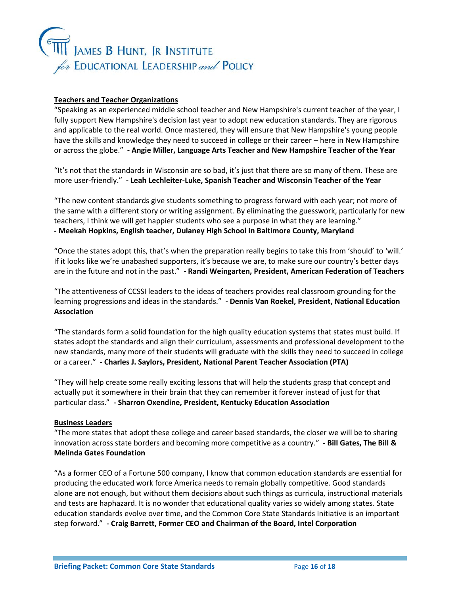

#### **Teachers and Teacher Organizations**

"Speaking as an experienced middle school teacher and New Hampshire's current teacher of the year, I fully support New Hampshire's decision last year to adopt new education standards. They are rigorous and applicable to the real world. Once mastered, they will ensure that New Hampshire's young people have the skills and knowledge they need to succeed in college or their career — here in New Hampshire or across the globe." **- Angie Miller, Language Arts Teacher and New Hampshire Teacher of the Year**

"It's not that the standards in Wisconsin are so bad, it's just that there are so many of them. These are more user-friendly." **- Leah Lechleiter-Luke, Spanish Teacher and Wisconsin Teacher of the Year**

"The new content standards give students something to progress forward with each year; not more of the same with a different story or writing assignment. By eliminating the guesswork, particularly for new teachers, I think we will get happier students who see a purpose in what they are learning." **- Meekah Hopkins, English teacher, Dulaney High School in Baltimore County, Maryland**

"Once the states adopt this, that's when the preparation really begins to take this from 'should' to 'will.' If it looks like we're unabashed supporters, it's because we are, to make sure our country's better days are in the future and not in the past." **- Randi Weingarten, President, American Federation of Teachers**

"The attentiveness of CCSSI leaders to the ideas of teachers provides real classroom grounding for the learning progressions and ideas in the standards." **- Dennis Van Roekel, President, National Education Association**

"The standards form a solid foundation for the high quality education systems that states must build. If states adopt the standards and align their curriculum, assessments and professional development to the new standards, many more of their students will graduate with the skills they need to succeed in college or a career." **- Charles J. Saylors, President, National Parent Teacher Association (PTA)**

"They will help create some really exciting lessons that will help the students grasp that concept and actually put it somewhere in their brain that they can remember it forever instead of just for that particular class." **- Sharron Oxendine, President, Kentucky Education Association**

#### **Business Leaders**

"The more states that adopt these college and career based standards, the closer we will be to sharing innovation across state borders and becoming more competitive as a country." **- Bill Gates, The Bill & Melinda Gates Foundation**

"As a former CEO of a Fortune 500 company, I know that common education standards are essential for producing the educated work force America needs to remain globally competitive. Good standards alone are not enough, but without them decisions about such things as curricula, instructional materials and tests are haphazard. It is no wonder that educational quality varies so widely among states. State education standards evolve over time, and the Common Core State Standards Initiative is an important step forward." **- Craig Barrett, Former CEO and Chairman of the Board, Intel Corporation**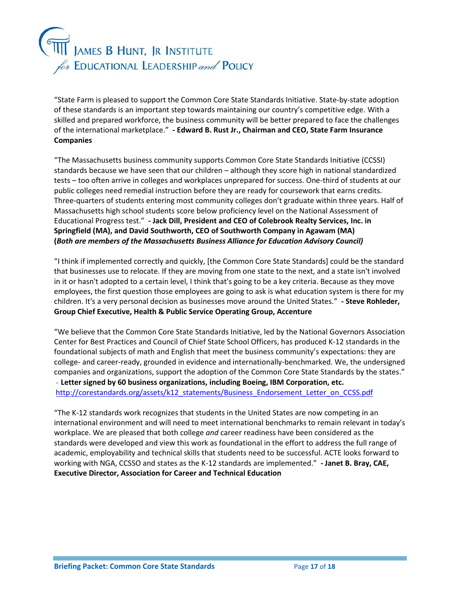# )<br>"James B Hunt, Jr Institute for EDUCATIONAL LEADERSHIP and POLICY

"State Farm is pleased to support the Common Core State Standards Initiative. State-by-state adoption of these standards is an important step towards maintaining our country's competitive edge. With a skilled and prepared workforce, the business community will be better prepared to face the challenges of the international marketplace." **- Edward B. Rust Jr., Chairman and CEO, State Farm Insurance Companies**

"The Massachusetts business community supports Common Core State Standards Initiative (CCSSI) standards because we have seen that our children – although they score high in national standardized tests – too often arrive in colleges and workplaces unprepared for success. One-third of students at our public colleges need remedial instruction before they are ready for coursework that earns credits. Three-quarters of students entering most community colleges don't graduate within three years. Half of Massachusetts high school students score below proficiency level on the National Assessment of Educational Progress test." **- Jack Dill, President and CEO of Colebrook Realty Services, Inc. in Springfield (MA), and David Southworth, CEO of Southworth Company in Agawam (MA) (***Both are members of the Massachusetts Business Alliance for Education Advisory Council)*

"I think if implemented correctly and quickly, [the Common Core State Standards] could be the standard that businesses use to relocate. If they are moving from one state to the next, and a state isn't involved in it or hasn't adopted to a certain level, I think that's going to be a key criteria. Because as they move employees, the first question those employees are going to ask is what education system is there for my children. It's a very personal decision as businesses move around the United States." **- Steve Rohleder, Group Chief Executive, Health & Public Service Operating Group, Accenture**

"We believe that the Common Core State Standards Initiative, led by the National Governors Association Center for Best Practices and Council of Chief State School Officers, has produced K-12 standards in the foundational subjects of math and English that meet the business community's expectations: they are college- and career-ready, grounded in evidence and internationally-benchmarked. We, the undersigned companies and organizations, support the adoption of the Common Core State Standards by the states." - **Letter signed by 60 business organizations, including Boeing, IBM Corporation, etc.** [http://corestandards.org/assets/k12\\_statements/Business\\_Endorsement\\_Letter\\_on\\_CCSS.pdf](http://corestandards.org/assets/k12_statements/Business_Endorsement_Letter_on_CCSS.pdf)

"The K-12 standards work recognizes that students in the United States are now competing in an international environment and will need to meet international benchmarks to remain relevant in today's workplace. We are pleased that both college *and* career readiness have been considered as the standards were developed and view this work as foundational in the effort to address the full range of academic, employability and technical skills that students need to be successful. ACTE looks forward to working with NGA, CCSSO and states as the K-12 standards are implemented." **- Janet B. Bray, CAE, Executive Director, Association for Career and Technical Education**